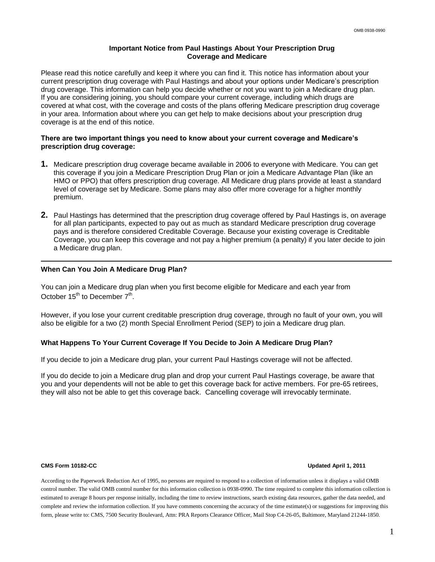## **Important Notice from Paul Hastings About Your Prescription Drug Coverage and Medicare**

Please read this notice carefully and keep it where you can find it. This notice has information about your current prescription drug coverage with Paul Hastings and about your options under Medicare's prescription drug coverage. This information can help you decide whether or not you want to join a Medicare drug plan. If you are considering joining, you should compare your current coverage, including which drugs are covered at what cost, with the coverage and costs of the plans offering Medicare prescription drug coverage in your area. Information about where you can get help to make decisions about your prescription drug coverage is at the end of this notice.

## **There are two important things you need to know about your current coverage and Medicare's prescription drug coverage:**

- **1.** Medicare prescription drug coverage became available in 2006 to everyone with Medicare. You can get this coverage if you join a Medicare Prescription Drug Plan or join a Medicare Advantage Plan (like an HMO or PPO) that offers prescription drug coverage. All Medicare drug plans provide at least a standard level of coverage set by Medicare. Some plans may also offer more coverage for a higher monthly premium.
- **2.** Paul Hastings has determined that the prescription drug coverage offered by Paul Hastings is, on average for all plan participants, expected to pay out as much as standard Medicare prescription drug coverage pays and is therefore considered Creditable Coverage. Because your existing coverage is Creditable Coverage, you can keep this coverage and not pay a higher premium (a penalty) if you later decide to join a Medicare drug plan.

# **When Can You Join A Medicare Drug Plan?**

You can join a Medicare drug plan when you first become eligible for Medicare and each year from October  $15^{th}$  to December  $7^{th}$ .

However, if you lose your current creditable prescription drug coverage, through no fault of your own, you will also be eligible for a two (2) month Special Enrollment Period (SEP) to join a Medicare drug plan.

## **What Happens To Your Current Coverage If You Decide to Join A Medicare Drug Plan?**

If you decide to join a Medicare drug plan, your current Paul Hastings coverage will not be affected.

If you do decide to join a Medicare drug plan and drop your current Paul Hastings coverage, be aware that you and your dependents will not be able to get this coverage back for active members. For pre-65 retirees, they will also not be able to get this coverage back. Cancelling coverage will irrevocably terminate.

### **CMS Form 10182-CC Updated April 1, 2011**

According to the Paperwork Reduction Act of 1995, no persons are required to respond to a collection of information unless it displays a valid OMB control number. The valid OMB control number for this information collection is 0938-0990. The time required to complete this information collection is estimated to average 8 hours per response initially, including the time to review instructions, search existing data resources, gather the data needed, and complete and review the information collection. If you have comments concerning the accuracy of the time estimate(s) or suggestions for improving this form, please write to: CMS, 7500 Security Boulevard, Attn: PRA Reports Clearance Officer, Mail Stop C4-26-05, Baltimore, Maryland 21244-1850.